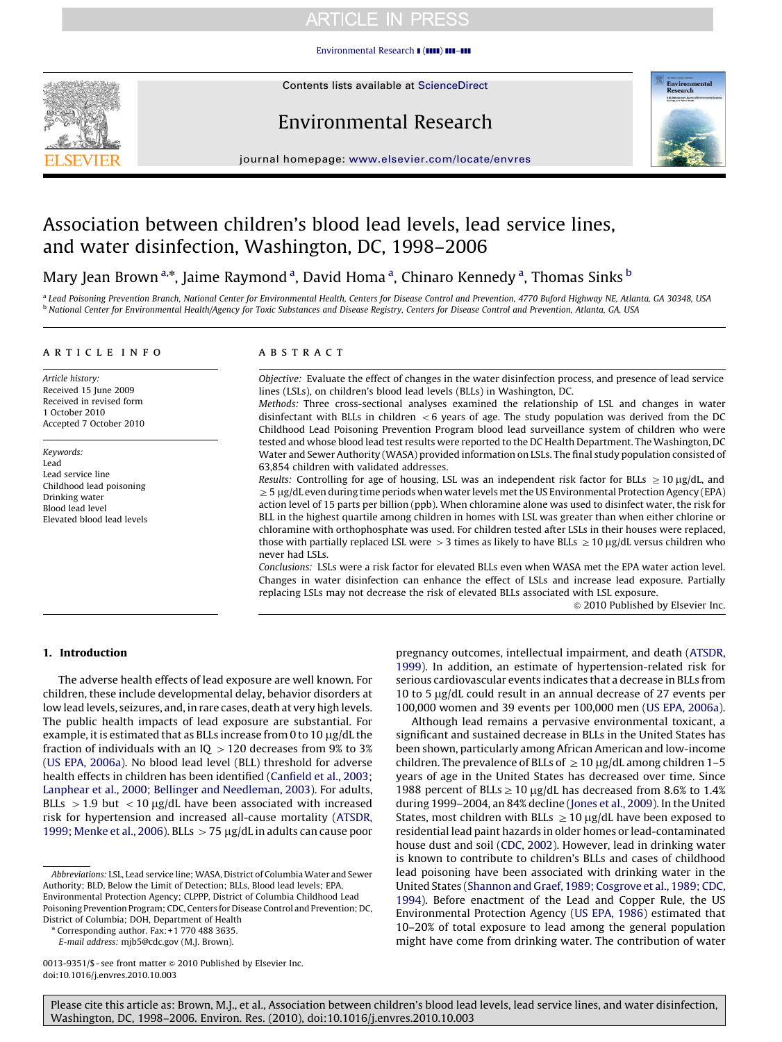### [Environmental Research](dx.doi.org/10.1016/j.envres.2010.10.003)  $\blacksquare$  ( $\blacksquare\blacksquare$ )  $\blacksquare\blacksquare$



Contents lists available at ScienceDirect

# Environmental Research



journal homepage: <www.elsevier.com/locate/envres>

# Association between children's blood lead levels, lead service lines, and water disinfection, Washington, DC, 1998–2006

Mary Jean Brown <sup>a,</sup>\*, Jaime Raymond <sup>a</sup>, David Homa <sup>a</sup>, Chinaro Kennedy <sup>a</sup>, Thomas Sinks <sup>b</sup>

a Lead Poisoning Prevention Branch, National Center for Environmental Health, Centers for Disease Control and Prevention, 4770 Buford Highway NE, Atlanta, GA 30348, USA **b** National Center for Environmental Health/Agency for Toxic Substances and Disease Registry, Centers for Disease Control and Prevention, Atlanta, GA, USA

# article info

Article history: Received 15 June 2009 Received in revised form 1 October 2010 Accepted 7 October 2010

Keywords: Lead Lead service line Childhood lead poisoning Drinking water Blood lead level Elevated blood lead levels

# **ABSTRACT**

Objective: Evaluate the effect of changes in the water disinfection process, and presence of lead service lines (LSLs), on children's blood lead levels (BLLs) in Washington, DC.

Methods: Three cross-sectional analyses examined the relationship of LSL and changes in water disinfectant with BLLs in children  $\lt$  6 years of age. The study population was derived from the DC Childhood Lead Poisoning Prevention Program blood lead surveillance system of children who were tested and whose blood lead test results were reported to the DC Health Department. The Washington, DC Water and Sewer Authority (WASA) provided information on LSLs. The final study population consisted of 63,854 children with validated addresses.

Results: Controlling for age of housing, LSL was an independent risk factor for BLLs  $\geq 10$  µg/dL, and  $\geq$  5 µg/dL even during time periods when water levels met the US Environmental Protection Agency (EPA) action level of 15 parts per billion (ppb). When chloramine alone was used to disinfect water, the risk for BLL in the highest quartile among children in homes with LSL was greater than when either chlorine or chloramine with orthophosphate was used. For children tested after LSLs in their houses were replaced, those with partially replaced LSL were  $>$  3 times as likely to have BLLs  $\geq$  10 µg/dL versus children who never had LSLs.

Conclusions: LSLs were a risk factor for elevated BLLs even when WASA met the EPA water action level. Changes in water disinfection can enhance the effect of LSLs and increase lead exposure. Partially replacing LSLs may not decrease the risk of elevated BLLs associated with LSL exposure.

 $@$  2010 Published by Elsevier Inc.

# 1. Introduction

The adverse health effects of lead exposure are well known. For children, these include developmental delay, behavior disorders at low lead levels, seizures, and, in rare cases, death at very high levels. The public health impacts of lead exposure are substantial. For example, it is estimated that as BLLs increase from 0 to 10  $\mu$ g/dL the fraction of individuals with an IQ  $>$  120 decreases from 9% to 3% ([US EPA, 2006a](#page-7-0)). No blood lead level (BLL) threshold for adverse health effects in children has been identified [\(Canfield et al., 2003;](#page-6-0) [Lanphear et al., 2000; Bellinger and Needleman, 2003\)](#page-6-0). For adults, BLLs  $>$  1.9 but  $<$  10 µg/dL have been associated with increased risk for hypertension and increased all-cause mortality [\(ATSDR,](#page-6-0) [1999; Menke et al., 2006](#page-6-0)). BLLs  $> 75 \mu g/dL$  in adults can cause poor

Abbreviations: LSL, Lead service line; WASA, District of Columbia Water and Sewer Authority; BLD, Below the Limit of Detection; BLLs, Blood lead levels; EPA, Environmental Protection Agency; CLPPP, District of Columbia Childhood Lead Poisoning Prevention Program; CDC, Centers for Disease Control and Prevention; DC, District of Columbia; DOH, Department of Health

<sup>n</sup> Corresponding author. Fax:+1 770 488 3635.

E-mail address: [mjb5@cdc.gov \(M.J. Brown\).](mailto:mjb5@cdc.gov)

0013-9351/\$ - see front matter  $\odot$  2010 Published by Elsevier Inc. doi:[10.1016/j.envres.2010.10.003](dx.doi.org/10.1016/j.envres.2010.10.003)

pregnancy outcomes, intellectual impairment, and death [\(ATSDR,](#page-6-0) [1999\)](#page-6-0). In addition, an estimate of hypertension-related risk for serious cardiovascular events indicates that a decrease in BLLs from 10 to 5  $\mu$ g/dL could result in an annual decrease of 27 events per 100,000 women and 39 events per 100,000 men [\(US EPA, 2006a\)](#page-7-0).

Although lead remains a pervasive environmental toxicant, a significant and sustained decrease in BLLs in the United States has been shown, particularly among African American and low-income children. The prevalence of BLLs of  $\geq 10 \mu$ g/dL among children 1–5 years of age in the United States has decreased over time. Since 1988 percent of BLLs  $\geq$  10 µg/dL has decreased from 8.6% to 1.4% during 1999–2004, an 84% decline ([Jones et al., 2009](#page-6-0)). In the United States, most children with BLLs  $\geq 10$  µg/dL have been exposed to residential lead paint hazards in older homes or lead-contaminated house dust and soil ([CDC, 2002](#page-6-0)). However, lead in drinking water is known to contribute to children's BLLs and cases of childhood lead poisoning have been associated with drinking water in the United States [\(Shannon and Graef, 1989; Cosgrove et al., 1989; CDC,](#page-7-0) [1994\)](#page-7-0). Before enactment of the Lead and Copper Rule, the US Environmental Protection Agency ([US EPA, 1986](#page-7-0)) estimated that 10–20% of total exposure to lead among the general population might have come from drinking water. The contribution of water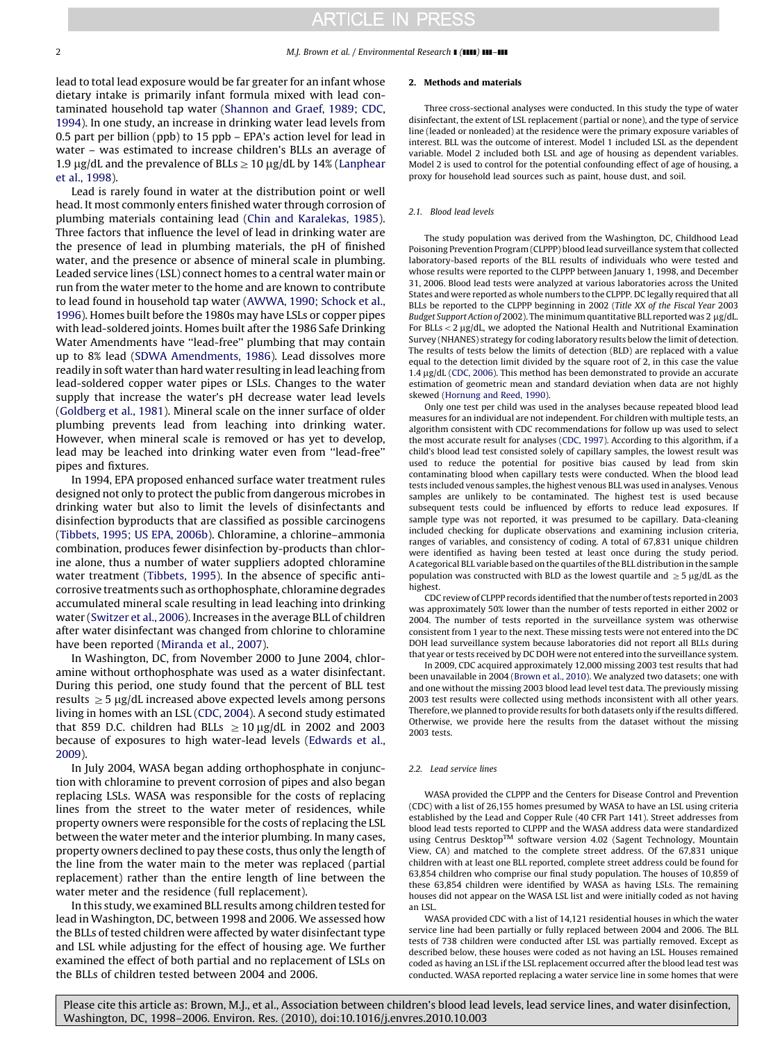#### 2 M.J. Brown et al. / Environmental Research **I (IIII) III-III**

lead to total lead exposure would be far greater for an infant whose dietary intake is primarily infant formula mixed with lead contaminated household tap water [\(Shannon and Graef, 1989; CDC,](#page-7-0) [1994\)](#page-7-0). In one study, an increase in drinking water lead levels from 0.5 part per billion (ppb) to 15 ppb – EPA's action level for lead in water – was estimated to increase children's BLLs an average of 1.9  $\mu$ g/dL and the prevalence of BLLs  $\geq$  10  $\mu$ g/dL by 14% [\(Lanphear](#page-6-0) [et al., 1998](#page-6-0)).

Lead is rarely found in water at the distribution point or well head. It most commonly enters finished water through corrosion of plumbing materials containing lead ([Chin and Karalekas, 1985\)](#page-6-0). Three factors that influence the level of lead in drinking water are the presence of lead in plumbing materials, the pH of finished water, and the presence or absence of mineral scale in plumbing. Leaded service lines (LSL) connect homes to a central water main or run from the water meter to the home and are known to contribute to lead found in household tap water [\(AWWA, 1990; Schock et al.,](#page-6-0) [1996\)](#page-6-0). Homes built before the 1980s may have LSLs or copper pipes with lead-soldered joints. Homes built after the 1986 Safe Drinking Water Amendments have ''lead-free'' plumbing that may contain up to 8% lead ([SDWA Amendments, 1986](#page-6-0)). Lead dissolves more readily in soft water than hard water resulting in lead leaching from lead-soldered copper water pipes or LSLs. Changes to the water supply that increase the water's pH decrease water lead levels ([Goldberg et al., 1981\)](#page-6-0). Mineral scale on the inner surface of older plumbing prevents lead from leaching into drinking water. However, when mineral scale is removed or has yet to develop, lead may be leached into drinking water even from ''lead-free'' pipes and fixtures.

In 1994, EPA proposed enhanced surface water treatment rules designed not only to protect the public from dangerous microbes in drinking water but also to limit the levels of disinfectants and disinfection byproducts that are classified as possible carcinogens ([Tibbets, 1995; US EPA, 2006b](#page-7-0)). Chloramine, a chlorine–ammonia combination, produces fewer disinfection by-products than chlorine alone, thus a number of water suppliers adopted chloramine water treatment [\(Tibbets, 1995\)](#page-7-0). In the absence of specific anticorrosive treatments such as orthophosphate, chloramine degrades accumulated mineral scale resulting in lead leaching into drinking water [\(Switzer et al., 2006](#page-7-0)). Increases in the average BLL of children after water disinfectant was changed from chlorine to chloramine have been reported ([Miranda et al., 2007\)](#page-6-0).

In Washington, DC, from November 2000 to June 2004, chloramine without orthophosphate was used as a water disinfectant. During this period, one study found that the percent of BLL test results  $\geq$  5 µg/dL increased above expected levels among persons living in homes with an LSL ([CDC, 2004\)](#page-6-0). A second study estimated that 859 D.C. children had BLLs  $\geq$  10 µg/dL in 2002 and 2003 because of exposures to high water-lead levels [\(Edwards et al.,](#page-6-0) [2009\)](#page-6-0).

In July 2004, WASA began adding orthophosphate in conjunction with chloramine to prevent corrosion of pipes and also began replacing LSLs. WASA was responsible for the costs of replacing lines from the street to the water meter of residences, while property owners were responsible for the costs of replacing the LSL between the water meter and the interior plumbing. In many cases, property owners declined to pay these costs, thus only the length of the line from the water main to the meter was replaced (partial replacement) rather than the entire length of line between the water meter and the residence (full replacement).

In this study, we examined BLL results among children tested for lead in Washington, DC, between 1998 and 2006. We assessed how the BLLs of tested children were affected by water disinfectant type and LSL while adjusting for the effect of housing age. We further examined the effect of both partial and no replacement of LSLs on the BLLs of children tested between 2004 and 2006.

#### 2. Methods and materials

Three cross-sectional analyses were conducted. In this study the type of water disinfectant, the extent of LSL replacement (partial or none), and the type of service line (leaded or nonleaded) at the residence were the primary exposure variables of interest. BLL was the outcome of interest. Model 1 included LSL as the dependent variable. Model 2 included both LSL and age of housing as dependent variables. Model 2 is used to control for the potential confounding effect of age of housing, a proxy for household lead sources such as paint, house dust, and soil.

#### 2.1. Blood lead levels

The study population was derived from the Washington, DC, Childhood Lead Poisoning Prevention Program (CLPPP) blood lead surveillance system that collected laboratory-based reports of the BLL results of individuals who were tested and whose results were reported to the CLPPP between January 1, 1998, and December 31, 2006. Blood lead tests were analyzed at various laboratories across the United States and were reported as whole numbers to the CLPPP. DC legally required that all BLLs be reported to the CLPPP beginning in 2002 (Title XX of the Fiscal Year 2003 Budget Support Action of 2002). The minimum quantitative BLL reported was 2  $\mu$ g/dL For BLLs  $<$  2  $\mu$ g/dL, we adopted the National Health and Nutritional Examination Survey (NHANES) strategy for coding laboratory results below the limit of detection. The results of tests below the limits of detection (BLD) are replaced with a value equal to the detection limit divided by the square root of 2, in this case the value  $1.4 \mu g/dL$  [\(CDC, 2006\)](#page-6-0). This method has been demonstrated to provide an accurate estimation of geometric mean and standard deviation when data are not highly skewed [\(Hornung and Reed, 1990\)](#page-6-0).

Only one test per child was used in the analyses because repeated blood lead measures for an individual are not independent. For children with multiple tests, an algorithm consistent with CDC recommendations for follow up was used to select the most accurate result for analyses [\(CDC, 1997\)](#page-6-0). According to this algorithm, if a child's blood lead test consisted solely of capillary samples, the lowest result was used to reduce the potential for positive bias caused by lead from skin contaminating blood when capillary tests were conducted. When the blood lead tests included venous samples, the highest venous BLL was used in analyses. Venous samples are unlikely to be contaminated. The highest test is used because subsequent tests could be influenced by efforts to reduce lead exposures. If sample type was not reported, it was presumed to be capillary. Data-cleaning included checking for duplicate observations and examining inclusion criteria, ranges of variables, and consistency of coding. A total of 67,831 unique children were identified as having been tested at least once during the study period. A categorical BLL variable based on the quartiles of the BLL distribution in the sample population was constructed with BLD as the lowest quartile and  $\geq$  5 µg/dL as the highest.

CDC review of CLPPP records identified that the number of tests reported in 2003 was approximately 50% lower than the number of tests reported in either 2002 or 2004. The number of tests reported in the surveillance system was otherwise consistent from 1 year to the next. These missing tests were not entered into the DC DOH lead surveillance system because laboratories did not report all BLLs during that year or tests received by DC DOH were not entered into the surveillance system.

In 2009, CDC acquired approximately 12,000 missing 2003 test results that had been unavailable in 2004 ([Brown et al., 2010\)](#page-6-0). We analyzed two datasets; one with and one without the missing 2003 blood lead level test data. The previously missing 2003 test results were collected using methods inconsistent with all other years. Therefore, we planned to provide results for both datasets only if the results differed. Otherwise, we provide here the results from the dataset without the missing 2003 tests.

#### 2.2. Lead service lines

WASA provided the CLPPP and the Centers for Disease Control and Prevention (CDC) with a list of 26,155 homes presumed by WASA to have an LSL using criteria established by the Lead and Copper Rule (40 CFR Part 141). Street addresses from blood lead tests reported to CLPPP and the WASA address data were standardized using Centrus Desktop<sup>TM</sup> software version 4.02 (Sagent Technology, Mountain View, CA) and matched to the complete street address. Of the 67,831 unique children with at least one BLL reported, complete street address could be found for 63,854 children who comprise our final study population. The houses of 10,859 of these 63,854 children were identified by WASA as having LSLs. The remaining houses did not appear on the WASA LSL list and were initially coded as not having an LSL.

WASA provided CDC with a list of 14,121 residential houses in which the water service line had been partially or fully replaced between 2004 and 2006. The BLL tests of 738 children were conducted after LSL was partially removed. Except as described below, these houses were coded as not having an LSL. Houses remained coded as having an LSL if the LSL replacement occurred after the blood lead test was conducted. WASA reported replacing a water service line in some homes that were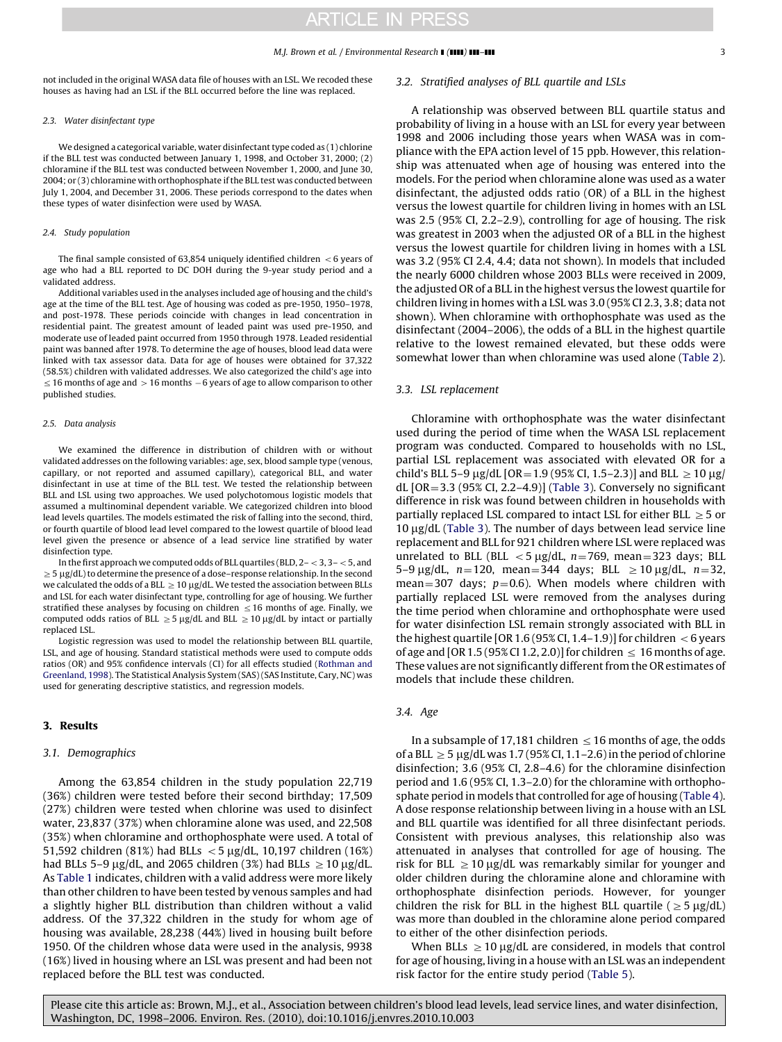not included in the original WASA data file of houses with an LSL. We recoded these houses as having had an LSL if the BLL occurred before the line was replaced.

#### 2.3. Water disinfectant type

We designed a categorical variable, water disinfectant type coded as (1) chlorine if the BLL test was conducted between January 1, 1998, and October 31, 2000; (2) chloramine if the BLL test was conducted between November 1, 2000, and June 30, 2004; or (3) chloramine with orthophosphate if the BLL test was conducted between July 1, 2004, and December 31, 2006. These periods correspond to the dates when these types of water disinfection were used by WASA.

#### 2.4. Study population

The final sample consisted of 63,854 uniquely identified children  $<$  6 years of age who had a BLL reported to DC DOH during the 9-year study period and a validated address.

Additional variables used in the analyses included age of housing and the child's age at the time of the BLL test. Age of housing was coded as pre-1950, 1950–1978, and post-1978. These periods coincide with changes in lead concentration in residential paint. The greatest amount of leaded paint was used pre-1950, and moderate use of leaded paint occurred from 1950 through 1978. Leaded residential paint was banned after 1978. To determine the age of houses, blood lead data were linked with tax assessor data. Data for age of houses were obtained for 37,322 (58.5%) children with validated addresses. We also categorized the child's age into  $\leq$  16 months of age and  $>$  16 months  $-$  6 years of age to allow comparison to other published studies.

#### 2.5. Data analysis

We examined the difference in distribution of children with or without validated addresses on the following variables: age, sex, blood sample type (venous, capillary, or not reported and assumed capillary), categorical BLL, and water disinfectant in use at time of the BLL test. We tested the relationship between BLL and LSL using two approaches. We used polychotomous logistic models that assumed a multinominal dependent variable. We categorized children into blood lead levels quartiles. The models estimated the risk of falling into the second, third, or fourth quartile of blood lead level compared to the lowest quartile of blood lead level given the presence or absence of a lead service line stratified by water disinfection type.

In the first approach we computed odds of BLL quartiles (BLD,  $2-<$  3,  $3-<$  5, and  $\geq$  5  $\mu$ g/dL) to determine the presence of a dose–response relationship. In the second we calculated the odds of a BLL  $\geq 10 \mu$ g/dL. We tested the association between BLLs and LSL for each water disinfectant type, controlling for age of housing. We further stratified these analyses by focusing on children  $\leq$  16 months of age. Finally, we computed odds ratios of BLL  $\geq$  5 µg/dL and BLL  $\geq$  10 µg/dL by intact or partially replaced LSL.

Logistic regression was used to model the relationship between BLL quartile, LSL, and age of housing. Standard statistical methods were used to compute odds ratios (OR) and 95% confidence intervals (CI) for all effects studied [\(Rothman and](#page-6-0) [Greenland, 1998\)](#page-6-0). The Statistical Analysis System (SAS) (SAS Institute, Cary, NC) was used for generating descriptive statistics, and regression models.

### 3. Results

### 3.1. Demographics

Among the 63,854 children in the study population 22,719 (36%) children were tested before their second birthday; 17,509 (27%) children were tested when chlorine was used to disinfect water, 23,837 (37%) when chloramine alone was used, and 22,508 (35%) when chloramine and orthophosphate were used. A total of 51,592 children (81%) had BLLs  $<$  5 µg/dL, 10,197 children (16%) had BLLs 5–9  $\mu$ g/dL, and 2065 children (3%) had BLLs  $\geq$  10  $\mu$ g/dL. As [Table 1](#page-3-0) indicates, children with a valid address were more likely than other children to have been tested by venous samples and had a slightly higher BLL distribution than children without a valid address. Of the 37,322 children in the study for whom age of housing was available, 28,238 (44%) lived in housing built before 1950. Of the children whose data were used in the analysis, 9938 (16%) lived in housing where an LSL was present and had been not replaced before the BLL test was conducted.

### 3.2. Stratified analyses of BLL quartile and LSLs

A relationship was observed between BLL quartile status and probability of living in a house with an LSL for every year between 1998 and 2006 including those years when WASA was in compliance with the EPA action level of 15 ppb. However, this relationship was attenuated when age of housing was entered into the models. For the period when chloramine alone was used as a water disinfectant, the adjusted odds ratio (OR) of a BLL in the highest versus the lowest quartile for children living in homes with an LSL was 2.5 (95% CI, 2.2–2.9), controlling for age of housing. The risk was greatest in 2003 when the adjusted OR of a BLL in the highest versus the lowest quartile for children living in homes with a LSL was 3.2 (95% CI 2.4, 4.4; data not shown). In models that included the nearly 6000 children whose 2003 BLLs were received in 2009, the adjusted OR of a BLL in the highest versus the lowest quartile for children living in homes with a LSL was 3.0 (95% CI 2.3, 3.8; data not shown). When chloramine with orthophosphate was used as the disinfectant (2004–2006), the odds of a BLL in the highest quartile relative to the lowest remained elevated, but these odds were somewhat lower than when chloramine was used alone [\(Table 2\)](#page-3-0).

### 3.3. LSL replacement

Chloramine with orthophosphate was the water disinfectant used during the period of time when the WASA LSL replacement program was conducted. Compared to households with no LSL, partial LSL replacement was associated with elevated OR for a child's BLL 5-9  $\mu$ g/dL [OR = 1.9 (95% CI, 1.5–2.3)] and BLL  $\geq 10 \mu$ g/ dL  $[OR=3.3 (95% CI, 2.2–4.9)]$  [\(Table 3](#page-4-0)). Conversely no significant difference in risk was found between children in households with partially replaced LSL compared to intact LSL for either BLL  $\geq$  5 or  $10 \mu g/dL$  ([Table 3\)](#page-4-0). The number of days between lead service line replacement and BLL for 921 children where LSL were replaced was unrelated to BLL (BLL  $<$  5 µg/dL, n=769, mean=323 days; BLL 5–9  $\mu$ g/dL, n=120, mean=344 days; BLL  $\geq 10 \mu$ g/dL, n=32, mean=307 days;  $p=0.6$ ). When models where children with partially replaced LSL were removed from the analyses during the time period when chloramine and orthophosphate were used for water disinfection LSL remain strongly associated with BLL in the highest quartile [OR 1.6 (95% CI, 1.4–1.9)] for children  $<$  6 years of age and [OR 1.5 (95% CI 1.2, 2.0)] for children  $\leq 16$  months of age. These values are not significantly different from the OR estimates of models that include these children.

#### 3.4. Age

In a subsample of 17,181 children  $\leq$  16 months of age, the odds of a BLL  $\geq$  5 µg/dL was 1.7 (95% CI, 1.1–2.6) in the period of chlorine disinfection; 3.6 (95% CI, 2.8–4.6) for the chloramine disinfection period and 1.6 (95% CI, 1.3–2.0) for the chloramine with orthophosphate period in models that controlled for age of housing ([Table 4\)](#page-4-0). A dose response relationship between living in a house with an LSL and BLL quartile was identified for all three disinfectant periods. Consistent with previous analyses, this relationship also was attenuated in analyses that controlled for age of housing. The risk for BLL  $\geq 10 \mu$ g/dL was remarkably similar for younger and older children during the chloramine alone and chloramine with orthophosphate disinfection periods. However, for younger children the risk for BLL in the highest BLL quartile ( $\geq$  5  $\mu$ g/dL) was more than doubled in the chloramine alone period compared to either of the other disinfection periods.

When BLLs  $\geq 10 \mu g/dL$  are considered, in models that control for age of housing, living in a house with an LSL was an independent risk factor for the entire study period ([Table 5\)](#page-4-0).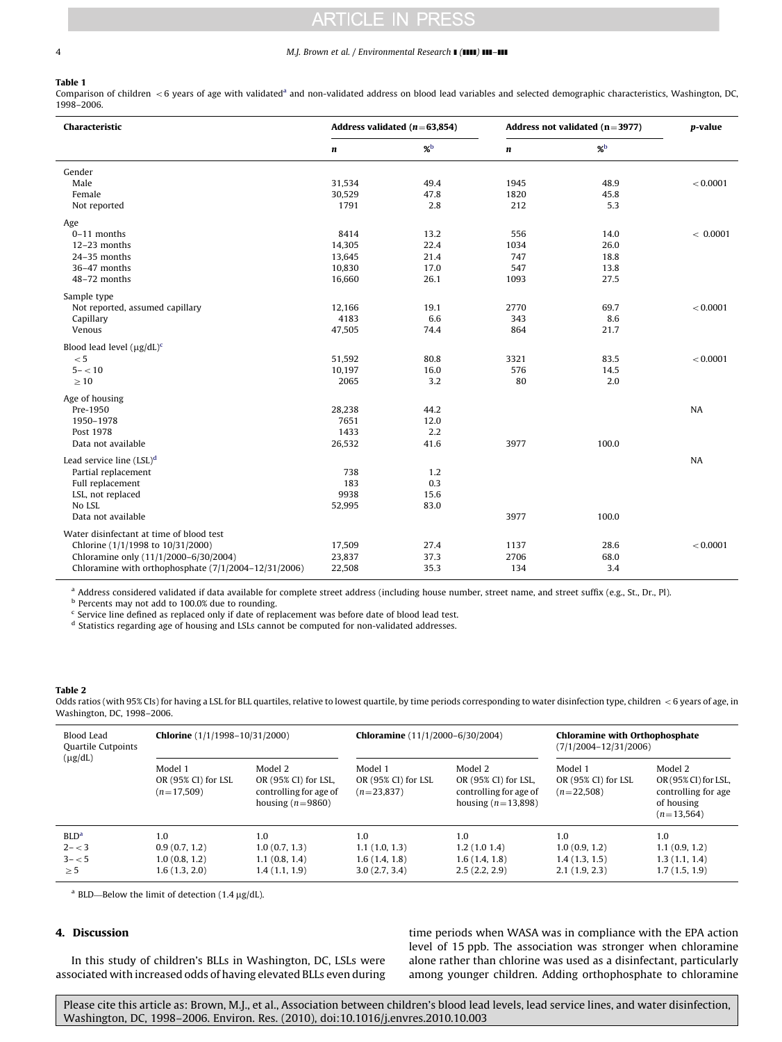### <span id="page-3-0"></span>4 M.J. Brown et al. / Environmental Research **[[1111] 111-111**

# Table 1

Comparison of children < 6 years of age with validated<sup>a</sup> and non-validated address on blood lead variables and selected demographic characteristics, Washington, DC, 1998–2006.

| Characteristic                                       |        | Address validated $(n=63,854)$ | Address not validated $(n=3977)$ |                              | p-value   |
|------------------------------------------------------|--------|--------------------------------|----------------------------------|------------------------------|-----------|
|                                                      | n      | $\%$                           | n                                | $\boldsymbol{\%}^\mathrm{b}$ |           |
| Gender                                               |        |                                |                                  |                              |           |
| Male                                                 | 31,534 | 49.4                           | 1945                             | 48.9                         | < 0.0001  |
| Female                                               | 30,529 | 47.8                           | 1820                             | 45.8                         |           |
| Not reported                                         | 1791   | 2.8                            | 212                              | 5.3                          |           |
| Age                                                  |        |                                |                                  |                              |           |
| $0-11$ months                                        | 8414   | 13.2                           | 556                              | 14.0                         | < 0.0001  |
| $12-23$ months                                       | 14,305 | 22.4                           | 1034                             | 26.0                         |           |
| 24-35 months                                         | 13,645 | 21.4                           | 747                              | 18.8                         |           |
| 36-47 months                                         | 10,830 | 17.0                           | 547                              | 13.8                         |           |
| 48-72 months                                         | 16,660 | 26.1                           | 1093                             | 27.5                         |           |
| Sample type                                          |        |                                |                                  |                              |           |
| Not reported, assumed capillary                      | 12,166 | 19.1                           | 2770                             | 69.7                         | < 0.0001  |
| Capillary                                            | 4183   | 6.6                            | 343                              | 8.6                          |           |
| Venous                                               | 47,505 | 74.4                           | 864                              | 21.7                         |           |
| Blood lead level $(\mu g/dL)^c$                      |        |                                |                                  |                              |           |
| < 5                                                  | 51,592 | 80.8                           | 3321                             | 83.5                         | < 0.0001  |
| $5 - < 10$                                           | 10,197 | 16.0                           | 576                              | 14.5                         |           |
| $\geq 10$                                            | 2065   | 3.2                            | 80                               | 2.0                          |           |
| Age of housing                                       |        |                                |                                  |                              |           |
| Pre-1950                                             | 28,238 | 44.2                           |                                  |                              | <b>NA</b> |
| 1950-1978                                            | 7651   | 12.0                           |                                  |                              |           |
| Post 1978                                            | 1433   | 2.2                            |                                  |                              |           |
| Data not available                                   | 26,532 | 41.6                           | 3977                             | 100.0                        |           |
| Lead service line $(LSL)^d$                          |        |                                |                                  |                              | <b>NA</b> |
| Partial replacement                                  | 738    | 1.2                            |                                  |                              |           |
| Full replacement                                     | 183    | 0.3                            |                                  |                              |           |
| LSL, not replaced                                    | 9938   | 15.6                           |                                  |                              |           |
| No LSL                                               | 52,995 | 83.0                           |                                  |                              |           |
| Data not available                                   |        |                                | 3977                             | 100.0                        |           |
| Water disinfectant at time of blood test             |        |                                |                                  |                              |           |
| Chlorine (1/1/1998 to 10/31/2000)                    | 17,509 | 27.4                           | 1137                             | 28.6                         | < 0.0001  |
| Chloramine only (11/1/2000-6/30/2004)                | 23,837 | 37.3                           | 2706                             | 68.0                         |           |
| Chloramine with orthophosphate (7/1/2004-12/31/2006) | 22,508 | 35.3                           | 134                              | 3.4                          |           |

a Address considered validated if data available for complete street address (including house number, street name, and street suffix (e.g., St., Dr., Pl).

**b** Percents may not add to 100.0% due to rounding.

<sup>c</sup> Service line defined as replaced only if date of replacement was before date of blood lead test.

<sup>d</sup> Statistics regarding age of housing and LSLs cannot be computed for non-validated addresses.

### Table 2

Odds ratios (with 95% CIs) for having a LSL for BLL quartiles, relative to lowest quartile, by time periods corresponding to water disinfection type, children < 6 years of age, in Washington, DC, 1998–2006.

| Blood Lead<br>Quartile Cutpoints<br>$(\mu g/dL)$     | Chlorine (1/1/1998-10/31/2000)                         |                                                                                 | <b>Chloramine</b> (11/1/2000-6/30/2004)                |                                                                                   | <b>Chloramine with Orthophosphate</b><br>$(7/1/2004 - 12/31/2006)$ |                                                                                      |
|------------------------------------------------------|--------------------------------------------------------|---------------------------------------------------------------------------------|--------------------------------------------------------|-----------------------------------------------------------------------------------|--------------------------------------------------------------------|--------------------------------------------------------------------------------------|
|                                                      | Model 1<br>OR (95% CI) for LSL<br>$(n=17,509)$         | Model 2<br>OR (95% CI) for LSL,<br>controlling for age of<br>housing $(n=9860)$ | Model 1<br>OR (95% CI) for LSL<br>$(n=23,837)$         | Model 2<br>OR (95% CI) for LSL,<br>controlling for age of<br>housing $(n=13,898)$ | Model 1<br>OR (95% CI) for LSL<br>$(n=22,508)$                     | Model 2<br>OR (95% CI) for LSL,<br>controlling for age<br>of housing<br>$(n=13,564)$ |
| BLD <sup>a</sup><br>$2 - < 3$<br>$3 - 5$<br>$\geq 5$ | 1.0<br>0.9(0.7, 1.2)<br>1.0(0.8, 1.2)<br>1.6(1.3, 2.0) | 1.0<br>1.0(0.7, 1.3)<br>1.1(0.8, 1.4)<br>1.4(1.1, 1.9)                          | 1.0<br>1.1(1.0, 1.3)<br>1.6(1.4, 1.8)<br>3.0(2.7, 3.4) | 1.0<br>1.2(1.01.4)<br>1.6(1.4, 1.8)<br>2.5(2.2, 2.9)                              | 1.0<br>1.0(0.9, 1.2)<br>1.4(1.3, 1.5)<br>2.1(1.9, 2.3)             | 1.0<br>1.1(0.9, 1.2)<br>1.3(1.1, 1.4)<br>1.7(1.5, 1.9)                               |

 $a$  BLD-Below the limit of detection (1.4  $\mu$ g/dL).

# 4. Discussion

In this study of children's BLLs in Washington, DC, LSLs were associated with increased odds of having elevated BLLs even during time periods when WASA was in compliance with the EPA action level of 15 ppb. The association was stronger when chloramine alone rather than chlorine was used as a disinfectant, particularly among younger children. Adding orthophosphate to chloramine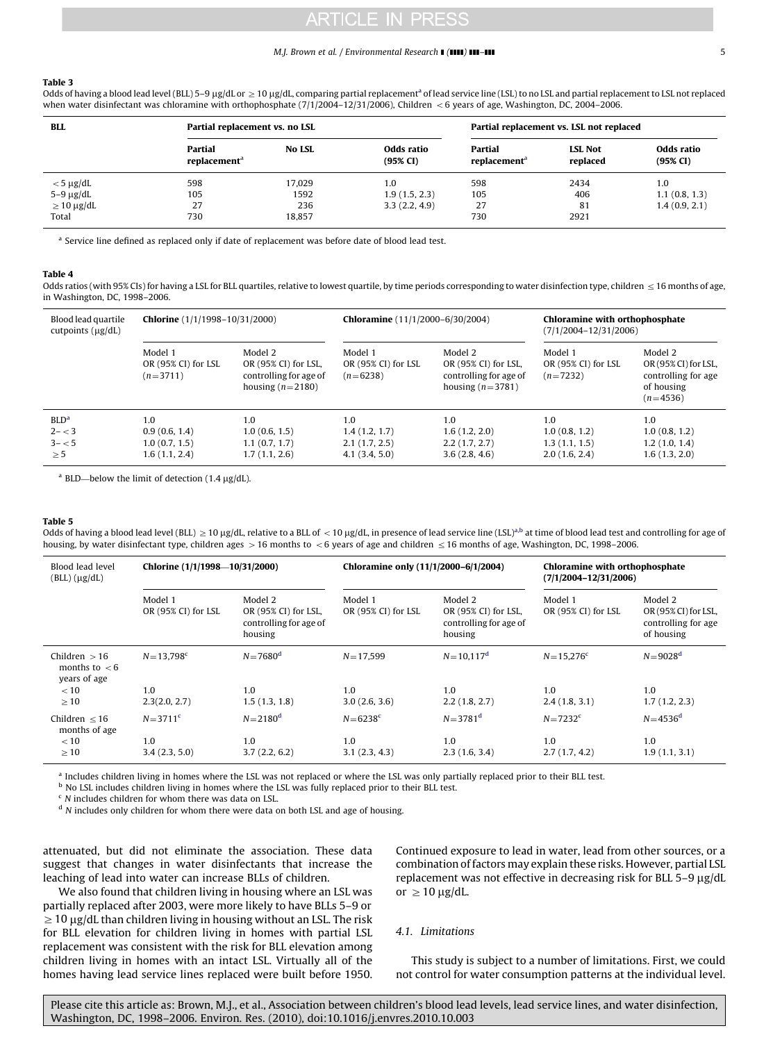### M.J. Brown et al. / Environmental Research ] (]]]]) ]]]–]]] 5

#### <span id="page-4-0"></span>Table 3

Odds of having a blood lead level (BLL) 5-9 µg/dL or  $\geq 10$  µg/dL, comparing partial replacement<sup>a</sup> of lead service line (LSL) to no LSL and partial replacement to LSL not replaced when water disinfectant was chloramine with orthophosphate  $(7/1/2004-12/31/2006)$ , Children < 6 years of age, Washington, DC, 2004-2006.

| <b>BLL</b>      | Partial replacement vs. no LSL             |               |                                     | Partial replacement vs. LSL not replaced   |                            |                                   |
|-----------------|--------------------------------------------|---------------|-------------------------------------|--------------------------------------------|----------------------------|-----------------------------------|
|                 | <b>Partial</b><br>replacement <sup>a</sup> | <b>No LSL</b> | Odds ratio<br>$(95\% \, \text{CI})$ | <b>Partial</b><br>replacement <sup>a</sup> | <b>LSL Not</b><br>replaced | Odds ratio<br>$(95\% \text{ CI})$ |
| $<$ 5 µg/dL     | 598                                        | 17.029        | 1.0                                 | 598                                        | 2434                       | 1.0                               |
| $5-9 \mu g/dL$  | 105                                        | 1592          | 1.9(1.5, 2.3)                       | 105                                        | 406                        | 1.1(0.8, 1.3)                     |
| $\geq$ 10 µg/dL | 27                                         | 236           | 3.3(2.2, 4.9)                       | 27                                         | 81                         | 1.4(0.9, 2.1)                     |
| Total           | 730                                        | 18.857        |                                     | 730                                        | 2921                       |                                   |

<sup>a</sup> Service line defined as replaced only if date of replacement was before date of blood lead test.

#### Table 4

Odds ratios (with 95% CIs) for having a LSL for BLL quartiles, relative to lowest quartile, by time periods corresponding to water disinfection type, children < 16 months of age, in Washington, DC, 1998–2006.

| Blood lead quartile<br>cutpoints $(\mu g/dL)$        | <b>Chlorine</b> (1/1/1998-10/31/2000)                  |                                                                                 | <b>Chloramine</b> (11/1/2000-6/30/2004)                |                                                                                 | Chloramine with orthophosphate<br>$(7/1/2004 - 12/31/2006)$ |                                                                                    |
|------------------------------------------------------|--------------------------------------------------------|---------------------------------------------------------------------------------|--------------------------------------------------------|---------------------------------------------------------------------------------|-------------------------------------------------------------|------------------------------------------------------------------------------------|
|                                                      | Model 1<br>OR (95% CI) for LSL<br>$(n=3711)$           | Model 2<br>OR (95% CI) for LSL,<br>controlling for age of<br>housing $(n=2180)$ | Model 1<br>OR (95% CI) for LSL<br>$(n=6238)$           | Model 2<br>OR (95% CI) for LSL,<br>controlling for age of<br>housing $(n=3781)$ | Model 1<br>OR (95% CI) for LSL<br>$(n=7232)$                | Model 2<br>OR (95% CI) for LSL,<br>controlling for age<br>of housing<br>$(n=4536)$ |
| BLD <sup>a</sup><br>$2 - < 3$<br>$3 - 5$<br>$\geq 5$ | 1.0<br>0.9(0.6, 1.4)<br>1.0(0.7, 1.5)<br>1.6(1.1, 2.4) | 1.0<br>1.0(0.6, 1.5)<br>1.1(0.7, 1.7)<br>1.7(1.1, 2.6)                          | 1.0<br>1.4(1.2, 1.7)<br>2.1(1.7, 2.5)<br>4.1(3.4, 5.0) | 1.0<br>1.6(1.2, 2.0)<br>2.2(1.7, 2.7)<br>3.6(2.8, 4.6)                          | 1.0<br>1.0(0.8, 1.2)<br>1.3(1.1, 1.5)<br>2.0(1.6, 2.4)      | 1.0<br>1.0(0.8, 1.2)<br>1.2(1.0, 1.4)<br>1.6(1.3, 2.0)                             |

<sup>a</sup> BLD—below the limit of detection (1.4  $\mu$ g/dL).

#### Table 5

Odds of having a blood lead level (BLL)  $\geq 10$  µg/dL, relative to a BLL of  $< 10$  µg/dL, in presence of lead service line (LSL)<sup>a,b</sup> at time of blood lead test and controlling for age of housing, by water disinfectant type, children ages  $> 16$  months to  $< 6$  years of age and children  $\leq 16$  months of age, Washington, DC, 1998–2006.

| Blood lead level<br>$(BLL)$ ( $\mu$ g/dL)          | Chlorine (1/1/1998-10/31/2000) |                                                                      | Chloramine only (11/1/2000-6/1/2004) |                                                                      | Chloramine with orthophosphate<br>$(7/1/2004 - 12/31/2006)$ |                                                                      |
|----------------------------------------------------|--------------------------------|----------------------------------------------------------------------|--------------------------------------|----------------------------------------------------------------------|-------------------------------------------------------------|----------------------------------------------------------------------|
|                                                    | Model 1<br>OR (95% CI) for LSL | Model 2<br>OR (95% CI) for LSL,<br>controlling for age of<br>housing | Model 1<br>OR (95% CI) for LSL       | Model 2<br>OR (95% CI) for LSL,<br>controlling for age of<br>housing | Model 1<br>OR (95% CI) for LSL                              | Model 2<br>OR (95% CI) for LSL,<br>controlling for age<br>of housing |
| Children $> 16$<br>months to $<$ 6<br>years of age | $N = 13.798^c$                 | $N = 7680^d$                                                         | $N = 17.599$                         | $N = 10.117^d$                                                       | $N = 15.276^c$                                              | $N = 9028^d$                                                         |
| < 10                                               | 1.0                            | 1.0                                                                  | 1.0                                  | 1.0                                                                  | 1.0                                                         | 1.0                                                                  |
| $\geq 10$                                          | 2.3(2.0, 2.7)                  | 1.5(1.3, 1.8)                                                        | 3.0(2.6, 3.6)                        | 2.2(1.8, 2.7)                                                        | 2.4(1.8, 3.1)                                               | 1.7(1.2, 2.3)                                                        |
| Children $<$ 16<br>months of age                   | $N = 3711^c$                   | $N = 2180^d$                                                         | $N = 6238^{\circ}$                   | $N = 3781^d$                                                         | $N=7232^c$                                                  | $N = 4536^d$                                                         |
| < 10                                               | 1.0                            | 1.0                                                                  | 1.0                                  | 1.0                                                                  | 1.0                                                         | 1.0                                                                  |
| $\geq 10$                                          | 3.4(2.3, 5.0)                  | 3.7(2.2, 6.2)                                                        | 3.1(2.3, 4.3)                        | 2.3(1.6, 3.4)                                                        | 2.7(1.7, 4.2)                                               | 1.9(1.1, 3.1)                                                        |

a Includes children living in homes where the LSL was not replaced or where the LSL was only partially replaced prior to their BLL test.

**b** No LSL includes children living in homes where the LSL was fully replaced prior to their BLL test.

 $c$  N includes children for whom there was data on LSL.

 $d$  N includes only children for whom there were data on both LSL and age of housing.

attenuated, but did not eliminate the association. These data suggest that changes in water disinfectants that increase the leaching of lead into water can increase BLLs of children.

We also found that children living in housing where an LSL was partially replaced after 2003, were more likely to have BLLs 5–9 or  $\geq$  10 µg/dL than children living in housing without an LSL. The risk for BLL elevation for children living in homes with partial LSL replacement was consistent with the risk for BLL elevation among children living in homes with an intact LSL. Virtually all of the homes having lead service lines replaced were built before 1950. Continued exposure to lead in water, lead from other sources, or a combination of factors may explain these risks. However, partial LSL replacement was not effective in decreasing risk for BLL 5-9 µg/dL or  $\geq 10 \mu g/dL$ .

# 4.1. Limitations

This study is subject to a number of limitations. First, we could not control for water consumption patterns at the individual level.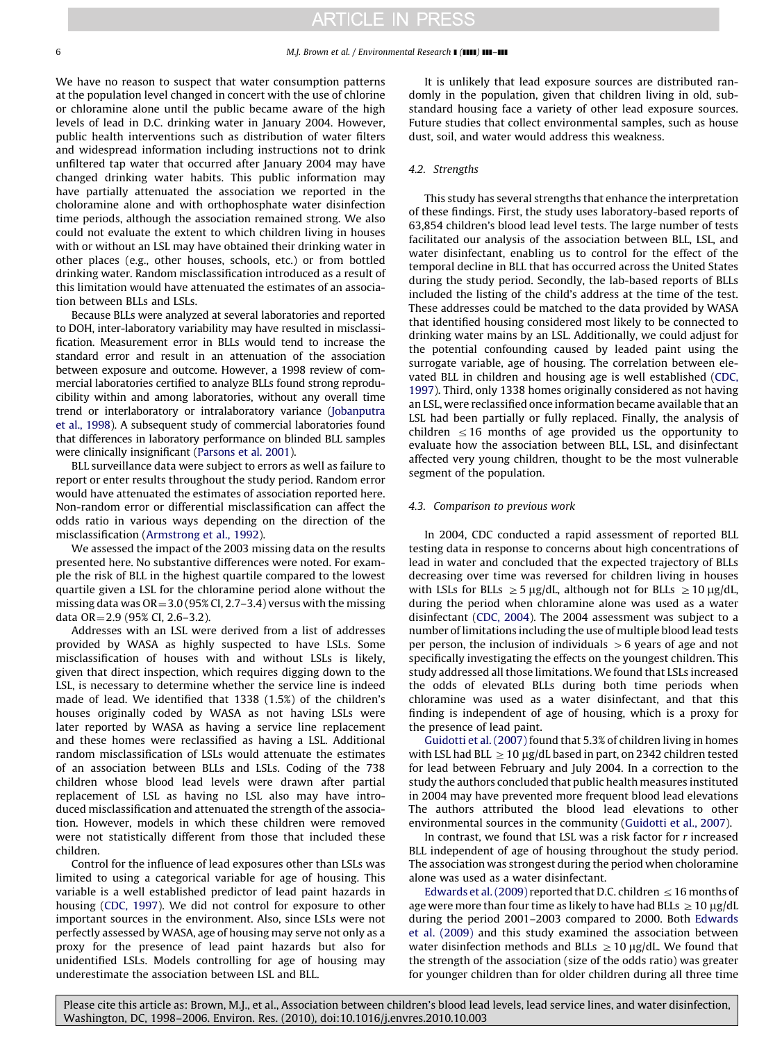#### 6 M.J. Brown et al. / Environmental Research ] (]]]]) ]]]–]]]

We have no reason to suspect that water consumption patterns at the population level changed in concert with the use of chlorine or chloramine alone until the public became aware of the high levels of lead in D.C. drinking water in January 2004. However, public health interventions such as distribution of water filters and widespread information including instructions not to drink unfiltered tap water that occurred after January 2004 may have changed drinking water habits. This public information may have partially attenuated the association we reported in the choloramine alone and with orthophosphate water disinfection time periods, although the association remained strong. We also could not evaluate the extent to which children living in houses with or without an LSL may have obtained their drinking water in other places (e.g., other houses, schools, etc.) or from bottled drinking water. Random misclassification introduced as a result of this limitation would have attenuated the estimates of an association between BLLs and LSLs.

Because BLLs were analyzed at several laboratories and reported to DOH, inter-laboratory variability may have resulted in misclassification. Measurement error in BLLs would tend to increase the standard error and result in an attenuation of the association between exposure and outcome. However, a 1998 review of commercial laboratories certified to analyze BLLs found strong reproducibility within and among laboratories, without any overall time trend or interlaboratory or intralaboratory variance ([Jobanputra](#page-6-0) [et al., 1998](#page-6-0)). A subsequent study of commercial laboratories found that differences in laboratory performance on blinded BLL samples were clinically insignificant ([Parsons et al. 2001\)](#page-6-0).

BLL surveillance data were subject to errors as well as failure to report or enter results throughout the study period. Random error would have attenuated the estimates of association reported here. Non-random error or differential misclassification can affect the odds ratio in various ways depending on the direction of the misclassification [\(Armstrong et al., 1992](#page-6-0)).

We assessed the impact of the 2003 missing data on the results presented here. No substantive differences were noted. For example the risk of BLL in the highest quartile compared to the lowest quartile given a LSL for the chloramine period alone without the missing data was  $OR = 3.0$  (95% CI, 2.7–3.4) versus with the missing data OR $=$ 2.9 (95% CI, 2.6–3.2).

Addresses with an LSL were derived from a list of addresses provided by WASA as highly suspected to have LSLs. Some misclassification of houses with and without LSLs is likely, given that direct inspection, which requires digging down to the LSL, is necessary to determine whether the service line is indeed made of lead. We identified that 1338 (1.5%) of the children's houses originally coded by WASA as not having LSLs were later reported by WASA as having a service line replacement and these homes were reclassified as having a LSL. Additional random misclassification of LSLs would attenuate the estimates of an association between BLLs and LSLs. Coding of the 738 children whose blood lead levels were drawn after partial replacement of LSL as having no LSL also may have introduced misclassification and attenuated the strength of the association. However, models in which these children were removed were not statistically different from those that included these children.

Control for the influence of lead exposures other than LSLs was limited to using a categorical variable for age of housing. This variable is a well established predictor of lead paint hazards in housing ([CDC, 1997](#page-6-0)). We did not control for exposure to other important sources in the environment. Also, since LSLs were not perfectly assessed by WASA, age of housing may serve not only as a proxy for the presence of lead paint hazards but also for unidentified LSLs. Models controlling for age of housing may underestimate the association between LSL and BLL.

It is unlikely that lead exposure sources are distributed randomly in the population, given that children living in old, substandard housing face a variety of other lead exposure sources. Future studies that collect environmental samples, such as house dust, soil, and water would address this weakness.

# 4.2. Strengths

This study has several strengths that enhance the interpretation of these findings. First, the study uses laboratory-based reports of 63,854 children's blood lead level tests. The large number of tests facilitated our analysis of the association between BLL, LSL, and water disinfectant, enabling us to control for the effect of the temporal decline in BLL that has occurred across the United States during the study period. Secondly, the lab-based reports of BLLs included the listing of the child's address at the time of the test. These addresses could be matched to the data provided by WASA that identified housing considered most likely to be connected to drinking water mains by an LSL. Additionally, we could adjust for the potential confounding caused by leaded paint using the surrogate variable, age of housing. The correlation between elevated BLL in children and housing age is well established ([CDC,](#page-6-0) [1997\)](#page-6-0). Third, only 1338 homes originally considered as not having an LSL, were reclassified once information became available that an LSL had been partially or fully replaced. Finally, the analysis of children  $\leq 16$  months of age provided us the opportunity to evaluate how the association between BLL, LSL, and disinfectant affected very young children, thought to be the most vulnerable segment of the population.

#### 4.3. Comparison to previous work

In 2004, CDC conducted a rapid assessment of reported BLL testing data in response to concerns about high concentrations of lead in water and concluded that the expected trajectory of BLLs decreasing over time was reversed for children living in houses with LSLs for BLLs  $\geq$  5 µg/dL, although not for BLLs  $\geq$  10 µg/dL, during the period when chloramine alone was used as a water disinfectant [\(CDC, 2004](#page-6-0)). The 2004 assessment was subject to a number of limitations including the use of multiple blood lead tests per person, the inclusion of individuals  $> 6$  years of age and not specifically investigating the effects on the youngest children. This study addressed all those limitations. We found that LSLs increased the odds of elevated BLLs during both time periods when chloramine was used as a water disinfectant, and that this finding is independent of age of housing, which is a proxy for the presence of lead paint.

[Guidotti et al. \(2007\)](#page-6-0) found that 5.3% of children living in homes with LSL had BLL  $\geq 10 \mu g/dL$  based in part, on 2342 children tested for lead between February and July 2004. In a correction to the study the authors concluded that public health measures instituted in 2004 may have prevented more frequent blood lead elevations The authors attributed the blood lead elevations to other environmental sources in the community [\(Guidotti et al., 2007\)](#page-6-0).

In contrast, we found that LSL was a risk factor for r increased BLL independent of age of housing throughout the study period. The association was strongest during the period when choloramine alone was used as a water disinfectant.

[Edwards et al. \(2009\)](#page-6-0) reported that D.C. children  $\leq$  16 months of age were more than four time as likely to have had BLLs  $\geq 10 \mu$ g/dL during the period 2001–2003 compared to 2000. Both [Edwards](#page-6-0) [et al. \(2009\)](#page-6-0) and this study examined the association between water disinfection methods and BLLs  $\geq 10$  µg/dL. We found that the strength of the association (size of the odds ratio) was greater for younger children than for older children during all three time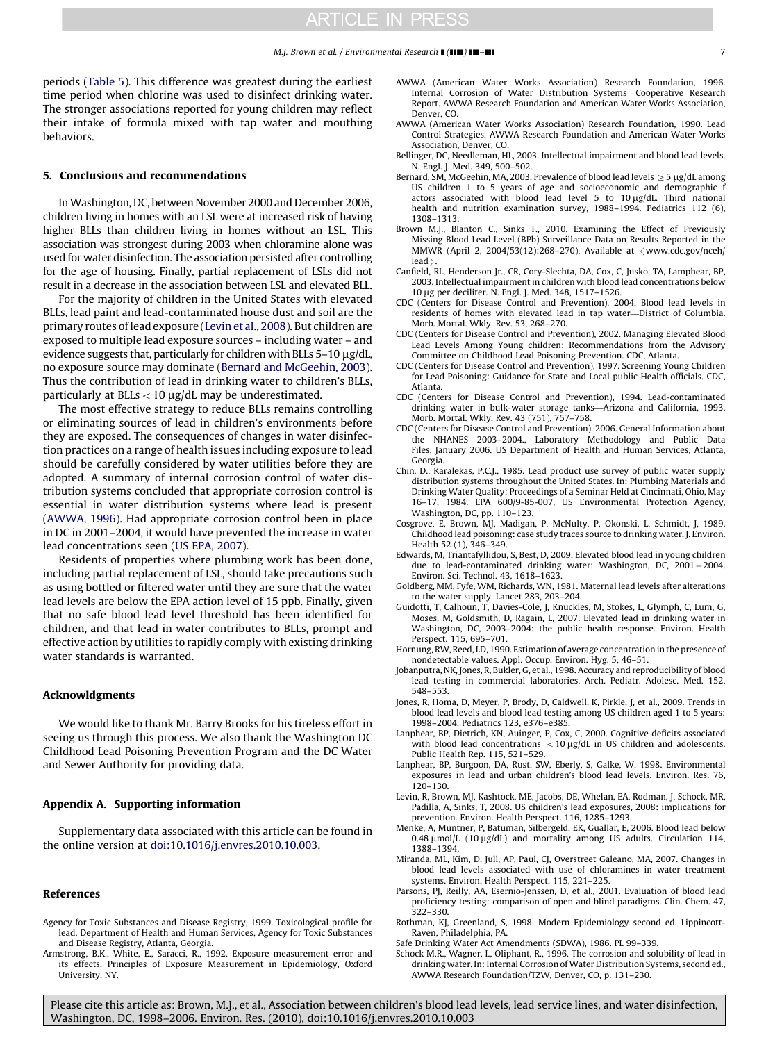<span id="page-6-0"></span>periods ([Table 5\)](#page-4-0). This difference was greatest during the earliest time period when chlorine was used to disinfect drinking water. The stronger associations reported for young children may reflect their intake of formula mixed with tap water and mouthing behaviors.

#### 5. Conclusions and recommendations

InWashington, DC, between November 2000 and December 2006, children living in homes with an LSL were at increased risk of having higher BLLs than children living in homes without an LSL. This association was strongest during 2003 when chloramine alone was used for water disinfection. The association persisted after controlling for the age of housing. Finally, partial replacement of LSLs did not result in a decrease in the association between LSL and elevated BLL.

For the majority of children in the United States with elevated BLLs, lead paint and lead-contaminated house dust and soil are the primary routes of lead exposure (Levin et al., 2008). But children are exposed to multiple lead exposure sources – including water – and evidence suggests that, particularly for children with BLLs  $5-10 \mu$ g/dL, no exposure source may dominate (Bernard and McGeehin, 2003). Thus the contribution of lead in drinking water to children's BLLs, particularly at  $BLLs < 10 \mu g/dL$  may be underestimated.

The most effective strategy to reduce BLLs remains controlling or eliminating sources of lead in children's environments before they are exposed. The consequences of changes in water disinfection practices on a range of health issues including exposure to lead should be carefully considered by water utilities before they are adopted. A summary of internal corrosion control of water distribution systems concluded that appropriate corrosion control is essential in water distribution systems where lead is present (AWWA, 1996). Had appropriate corrosion control been in place in DC in 2001–2004, it would have prevented the increase in water lead concentrations seen [\(US EPA, 2007\)](#page-7-0).

Residents of properties where plumbing work has been done, including partial replacement of LSL, should take precautions such as using bottled or filtered water until they are sure that the water lead levels are below the EPA action level of 15 ppb. Finally, given that no safe blood lead level threshold has been identified for children, and that lead in water contributes to BLLs, prompt and effective action by utilities to rapidly comply with existing drinking water standards is warranted.

# Acknowldgments

We would like to thank Mr. Barry Brooks for his tireless effort in seeing us through this process. We also thank the Washington DC Childhood Lead Poisoning Prevention Program and the DC Water and Sewer Authority for providing data.

### Appendix A. Supporting information

Supplementary data associated with this article can be found in the online version at <doi:10.1016/j.envres.2010.10.003>.

#### References

- Agency for Toxic Substances and Disease Registry, 1999. Toxicological profile for lead. Department of Health and Human Services, Agency for Toxic Substances and Disease Registry, Atlanta, Georgia.
- Armstrong, B.K., White, E., Saracci, R., 1992. Exposure measurement error and its effects. Principles of Exposure Measurement in Epidemiology, Oxford University, NY.
- AWWA (American Water Works Association) Research Foundation, 1996. Internal Corrosion of Water Distribution Systems—Cooperative Research Report. AWWA Research Foundation and American Water Works Association, Denver, CO.
- AWWA (American Water Works Association) Research Foundation, 1990. Lead Control Strategies. AWWA Research Foundation and American Water Works Association, Denver, CO.
- Bellinger, DC, Needleman, HL, 2003. Intellectual impairment and blood lead levels. N. Engl. J. Med. 349, 500–502.
- Bernard, SM, McGeehin, MA, 2003. Prevalence of blood lead levels  $\geq 5$  µg/dL among US children 1 to 5 years of age and socioeconomic and demographic f actors associated with blood lead level 5 to  $10 \mu$ g/dL. Third national health and nutrition examination survey, 1988–1994. Pediatrics 112 (6), 1308–1313.
- Brown M.J., Blanton C., Sinks T., 2010. Examining the Effect of Previously Missing Blood Lead Level (BPb) Surveillance Data on Results Reported in the MMWR (April 2, 2004/53(12):268-270). Available at  $\langle$  [www.cdc.gov/nceh/](www.cdc.gov/nceh/lead)<br>lead  $\rangle$
- [lead](www.cdc.gov/nceh/lead) >.<br>Canfield, RL, Henderson Jr., CR, Cory-Slechta, DA, Cox, C, Jusko, TA, Lamphear, BP, 2003. Intellectual impairment in children with blood lead concentrations below 10 mg per deciliter. N. Engl. J. Med. 348, 1517–1526.
- CDC (Centers for Disease Control and Prevention), 2004. Blood lead levels in residents of homes with elevated lead in tap water—District of Columbia. Morb. Mortal. Wkly. Rev. 53, 268–270.
- CDC (Centers for Disease Control and Prevention), 2002. Managing Elevated Blood Lead Levels Among Young children: Recommendations from the Advisory Committee on Childhood Lead Poisoning Prevention. CDC, Atlanta.
- CDC (Centers for Disease Control and Prevention), 1997. Screening Young Children for Lead Poisoning: Guidance for State and Local public Health officials. CDC, Atlanta.
- CDC (Centers for Disease Control and Prevention), 1994. Lead-contaminated drinking water in bulk-water storage tanks—Arizona and California, 1993. Morb. Mortal. Wkly. Rev. 43 (751), 757–758.
- CDC (Centers for Disease Control and Prevention), 2006. General Information about the NHANES 2003–2004., Laboratory Methodology and Public Data Files, January 2006. US Department of Health and Human Services, Atlanta, Georgia.
- Chin, D., Karalekas, P.C.J., 1985. Lead product use survey of public water supply distribution systems throughout the United States. In: Plumbing Materials and Drinking Water Quality: Proceedings of a Seminar Held at Cincinnati, Ohio, May 16–17, 1984. EPA 600/9-85-007, US Environmental Protection Agency, Washington, DC, pp. 110–123.
- Cosgrove, E, Brown, MJ, Madigan, P, McNulty, P, Okonski, L, Schmidt, J, 1989. Childhood lead poisoning: case study traces source to drinking water. J. Environ. Health 52 (1), 346–349.
- Edwards, M, Triantafyllidou, S, Best, D, 2009. Elevated blood lead in young children due to lead-contaminated drinking water: Washington, DC, 2001-2004. Environ. Sci. Technol. 43, 1618–1623.
- Goldberg, MM, Fyfe, WM, Richards, WN, 1981. Maternal lead levels after alterations to the water supply. Lancet 283, 203–204.
- Guidotti, T, Calhoun, T, Davies-Cole, J, Knuckles, M, Stokes, L, Glymph, C, Lum, G, Moses, M, Goldsmith, D, Ragain, L, 2007. Elevated lead in drinking water in Washington, DC, 2003–2004: the public health response. Environ. Health Perspect. 115, 695–701.
- Hornung, RW, Reed, LD, 1990. Estimation of average concentration in the presence of nondetectable values. Appl. Occup. Environ. Hyg. 5, 46–51.
- Jobanputra, NK, Jones, R, Bukler, G, et al., 1998. Accuracy and reproducibility of blood lead testing in commercial laboratories. Arch. Pediatr. Adolesc. Med. 152, 548–553.
- Jones, R, Homa, D, Meyer, P, Brody, D, Caldwell, K, Pirkle, J, et al., 2009. Trends in blood lead levels and blood lead testing among US children aged 1 to 5 years: 1998–2004. Pediatrics 123, e376–e385.
- Lanphear, BP, Dietrich, KN, Auinger, P, Cox, C, 2000. Cognitive deficits associated with blood lead concentrations  $<$  10  $\mu$ g/dL in US children and adolescents. Public Health Rep. 115, 521–529.
- Lanphear, BP, Burgoon, DA, Rust, SW, Eberly, S, Galke, W, 1998. Environmental exposures in lead and urban children's blood lead levels. Environ. Res. 76, 120–130.
- Levin, R, Brown, MJ, Kashtock, ME, Jacobs, DE, Whelan, EA, Rodman, J, Schock, MR, Padilla, A, Sinks, T, 2008. US children's lead exposures, 2008: implications for prevention. Environ. Health Perspect. 116, 1285–1293.
- Menke, A, Muntner, P, Batuman, Silbergeld, EK, Guallar, E, 2006. Blood lead below  $0.48 \mu$ mol/L (10  $\mu$ g/dL) and mortality among US adults. Circulation 114, 1388–1394.
- Miranda, ML, Kim, D, Jull, AP, Paul, CJ, Overstreet Galeano, MA, 2007. Changes in blood lead levels associated with use of chloramines in water treatment systems. Environ. Health Perspect. 115, 221–225.
- Parsons, PJ, Reilly, AA, Esernio-Jenssen, D, et al., 2001. Evaluation of blood lead proficiency testing: comparison of open and blind paradigms. Clin. Chem. 47, 322–330.
- Rothman, KJ, Greenland, S, 1998. Modern Epidemiology second ed. Lippincott-Raven, Philadelphia, PA.
- Safe Drinking Water Act Amendments (SDWA), 1986. PL 99–339.
- Schock M.R., Wagner, I., Oliphant, R., 1996. The corrosion and solubility of lead in drinking water. In: Internal Corrosion of Water Distribution Systems, second ed., AWWA Research Foundation/TZW, Denver, CO, p. 131–230.